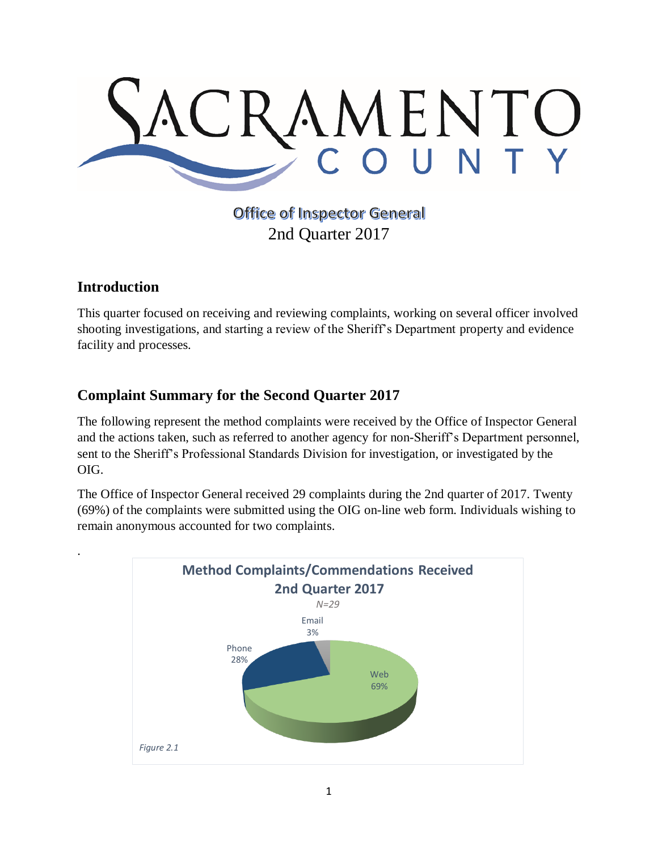

**Office of Inspector General** 2nd Quarter 2017

## **Introduction**

.

This quarter focused on receiving and reviewing complaints, working on several officer involved shooting investigations, and starting a review of the Sheriff's Department property and evidence facility and processes.

## **Complaint Summary for the Second Quarter 2017**

The following represent the method complaints were received by the Office of Inspector General and the actions taken, such as referred to another agency for non-Sheriff's Department personnel, sent to the Sheriff's Professional Standards Division for investigation, or investigated by the OIG.

The Office of Inspector General received 29 complaints during the 2nd quarter of 2017. Twenty (69%) of the complaints were submitted using the OIG on-line web form. Individuals wishing to remain anonymous accounted for two complaints.